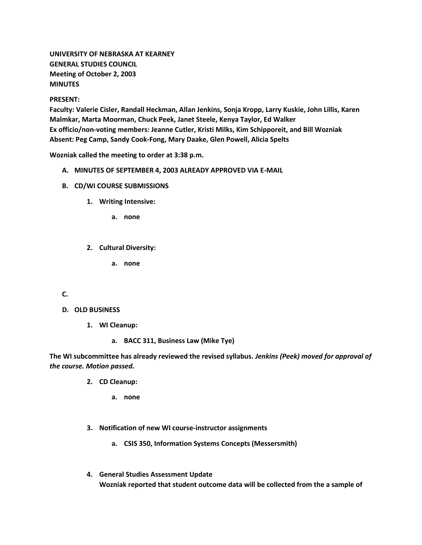# **UNIVERSITY OF NEBRASKA AT KEARNEY GENERAL STUDIES COUNCIL Meeting of October 2, 2003 MINUTES**

#### **PRESENT:**

**Faculty: Valerie Cisler, Randall Heckman, Allan Jenkins, Sonja Kropp, Larry Kuskie, John Lillis, Karen Malmkar, Marta Moorman, Chuck Peek, Janet Steele, Kenya Taylor, Ed Walker Ex officio/non-voting members: Jeanne Cutler, Kristi Milks, Kim Schipporeit, and Bill Wozniak Absent: Peg Camp, Sandy Cook-Fong, Mary Daake, Glen Powell, Alicia Spelts**

**Wozniak called the meeting to order at 3:38 p.m.**

- **A. MINUTES OF SEPTEMBER 4, 2003 ALREADY APPROVED VIA E-MAIL**
- **B. CD/WI COURSE SUBMISSIONS**
	- **1. Writing Intensive:** 
		- **a. none**
	- **2. Cultural Diversity:** 
		- **a. none**

## **C.**

- **D. OLD BUSINESS**
	- **1. WI Cleanup:** 
		- **a. BACC 311, Business Law (Mike Tye)**

**The WI subcommittee has already reviewed the revised syllabus.** *Jenkins (Peek) moved for approval of the course. Motion passed.*

- **2. CD Cleanup:** 
	- **a. none**
- **3. Notification of new WI course-instructor assignments** 
	- **a. CSIS 350, Information Systems Concepts (Messersmith)**
- **4. General Studies Assessment Update Wozniak reported that student outcome data will be collected from the a sample of**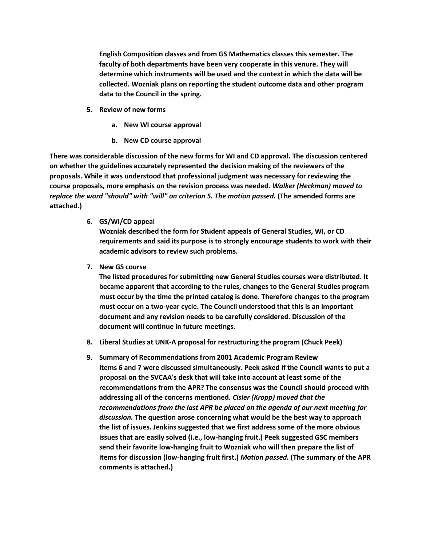**English Composition classes and from GS Mathematics classes this semester. The faculty of both departments have been very cooperate in this venure. They will determine which instruments will be used and the context in which the data will be collected. Wozniak plans on reporting the student outcome data and other program data to the Council in the spring.**

- **5. Review of new forms** 
	- **a. New WI course approval**
	- **b. New CD course approval**

**There was considerable discussion of the new forms for WI and CD approval. The discussion centered on whether the guidelines accurately represented the decision making of the reviewers of the proposals. While it was understood that professional judgment was necessary for reviewing the course proposals, more emphasis on the revision process was needed.** *Walker (Heckman) moved to replace the word "should" with "will" on criterion 5. The motion passed.* **(The amended forms are attached.)**

**6. GS/WI/CD appeal**

**Wozniak described the form for Student appeals of General Studies, WI, or CD requirements and said its purpose is to strongly encourage students to work with their academic advisors to review such problems.**

**7. New GS course**

**The listed procedures for submitting new General Studies courses were distributed. It became apparent that according to the rules, changes to the General Studies program must occur by the time the printed catalog is done. Therefore changes to the program must occur on a two-year cycle. The Council understood that this is an important document and any revision needs to be carefully considered. Discussion of the document will continue in future meetings.**

- **8. Liberal Studies at UNK-A proposal for restructuring the program (Chuck Peek)**
- **9. Summary of Recommendations from 2001 Academic Program Review Items 6 and 7 were discussed simultaneously. Peek asked if the Council wants to put a proposal on the SVCAA's desk that will take into account at least some of the recommendations from the APR? The consensus was the Council should proceed with addressing all of the concerns mentioned.** *Cisler (Kropp) moved that the recommendations from the last APR be placed on the agenda of our next meeting for discussion.* **The question arose concerning what would be the best way to approach the list of issues. Jenkins suggested that we first address some of the more obvious issues that are easily solved (i.e., low-hanging fruit.) Peek suggested GSC members send their favorite low-hanging fruit to Wozniak who will then prepare the list of items for discussion (low-hanging fruit first.)** *Motion passed.* **(The summary of the APR comments is attached.)**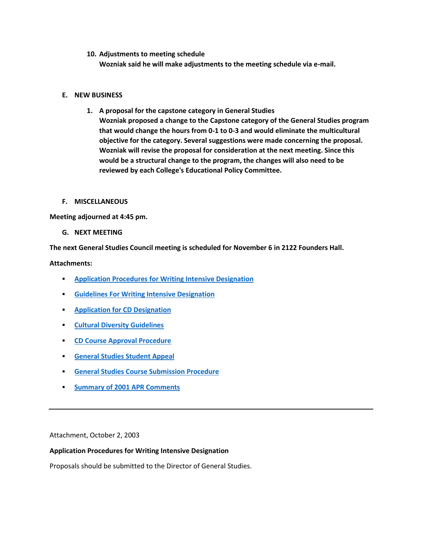**10. Adjustments to meeting schedule**

**Wozniak said he will make adjustments to the meeting schedule via e-mail.**

## **E. NEW BUSINESS**

**1. A proposal for the capstone category in General Studies Wozniak proposed a change to the Capstone category of the General Studies program that would change the hours from 0-1 to 0-3 and would eliminate the multicultural objective for the category. Several suggestions were made concerning the proposal. Wozniak will revise the proposal for consideration at the next meeting. Since this would be a structural change to the program, the changes will also need to be reviewed by each College's Educational Policy Committee.**

#### **F. MISCELLANEOUS**

**Meeting adjourned at 4:45 pm.**

**G. NEXT MEETING**

**The next General Studies Council meeting is scheduled for November 6 in 2122 Founders Hall.**

#### **Attachments:**

- **[Application Procedures for Writing Intensive Designation](http://www.unk.edu/academicaffairs/generalstudies/index.php?id=3856)**
- **[Guidelines For Writing Intensive Designation](http://www.unk.edu/academicaffairs/generalstudies/index.php?id=3857)**
- **[Application for CD Designation](http://www.unk.edu/academicaffairs/generalstudies/index.php?id=3858)**
- **[Cultural Diversity Guidelines](http://www.unk.edu/academicaffairs/generalstudies/index.php?id=3859)**
- **[CD Course Approval Procedure](http://www.unk.edu/academicaffairs/generalstudies/index.php?id=3860)**
- **[General Studies Student Appeal](http://www.unk.edu/academicaffairs/generalstudies/index.php?id=3862)**
- **[General Studies Course Submission Procedure](http://www.unk.edu/academicaffairs/generalstudies/index.php?id=3863)**
- **[Summary of 2001 APR Comments](http://www.unk.edu/academicaffairs/generalstudies/index.php?id=3864)**

Attachment, October 2, 2003

#### **Application Procedures for Writing Intensive Designation**

Proposals should be submitted to the Director of General Studies.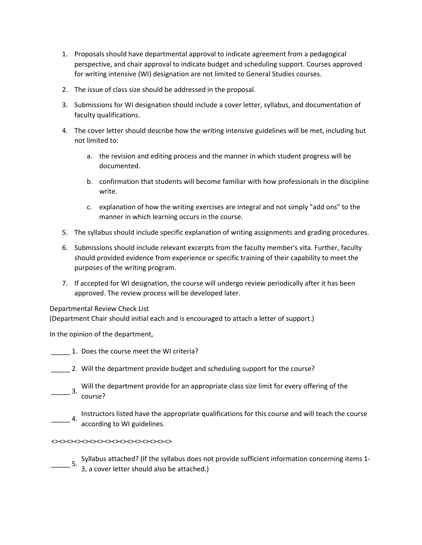- 1. Proposals should have departmental approval to indicate agreement from a pedagogical perspective, and chair approval to indicate budget and scheduling support. Courses approved for writing intensive (WI) designation are not limited to General Studies courses.
- 2. The issue of class size should be addressed in the proposal.
- 3. Submissions for WI designation should include a cover letter, syllabus, and documentation of faculty qualifications.
- 4. The cover letter should describe how the writing intensive guidelines will be met, including but not limited to:
	- a. the revision and editing process and the manner in which student progress will be documented.
	- b. confirmation that students will become familiar with how professionals in the discipline write.
	- c. explanation of how the writing exercises are integral and not simply "add ons" to the manner in which learning occurs in the course.
- 5. The syllabus should include specific explanation of writing assignments and grading procedures.
- 6. Submissions should include relevant excerpts from the faculty member's vita. Further, faculty should provided evidence from experience or specific training of their capability to meet the purposes of the writing program.
- 7. If accepted for WI designation, the course will undergo review periodically after it has been approved. The review process will be developed later.

Departmental Review Check List

(Department Chair should initial each and is encouraged to attach a letter of support.)

In the opinion of the department,

- \_\_\_\_\_ 1. Does the course meet the WI criteria?
- \_\_\_\_\_ 2. Will the department provide budget and scheduling support for the course?
- Will the department provide for an appropriate class size limit for every offering of the  $\frac{3.6}{2}$ course?
- Instructors listed have the appropriate qualifications for this course and will teach the course<br>4. executive to MI middlines according to WI guidelines.

#### <><><><><><><><><><><><><><><><>

\_\_\_\_\_ 5. Syllabus attached? (If the syllabus does not provide sufficient information concerning items 1- 3, a cover letter should also be attached.)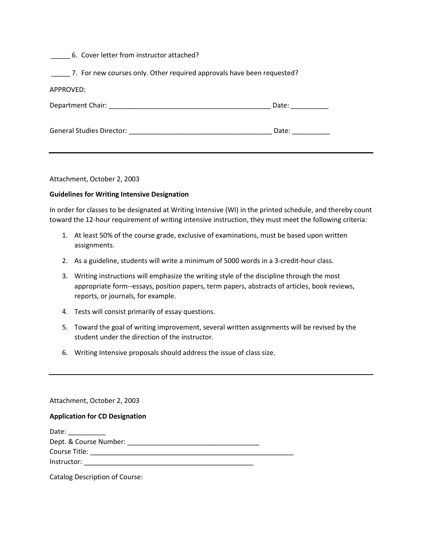#### \_\_\_\_\_ 6. Cover letter from instructor attached?

\_\_\_\_\_ 7. For new courses only. Other required approvals have been requested?

| Department Chair:                | Date: |
|----------------------------------|-------|
| <b>General Studies Director:</b> | Date: |

Attachment, October 2, 2003

#### **Guidelines for Writing Intensive Designation**

In order for classes to be designated at Writing Intensive (WI) in the printed schedule, and thereby count toward the 12-hour requirement of writing intensive instruction, they must meet the following criteria:

- 1. At least 50% of the course grade, exclusive of examinations, must be based upon written assignments.
- 2. As a guideline, students will write a minimum of 5000 words in a 3-credit-hour class.
- 3. Writing instructions will emphasize the writing style of the discipline through the most appropriate form--essays, position papers, term papers, abstracts of articles, book reviews, reports, or journals, for example.
- 4. Tests will consist primarily of essay questions.
- 5. Toward the goal of writing improvement, several written assignments will be revised by the student under the direction of the instructor.
- 6. Writing Intensive proposals should address the issue of class size.

## Attachment, October 2, 2003

## **Application for CD Designation**

| Date:                  |  |
|------------------------|--|
| Dept. & Course Number: |  |
| Course Title:          |  |
| Instructor:            |  |
|                        |  |

Catalog Description of Course: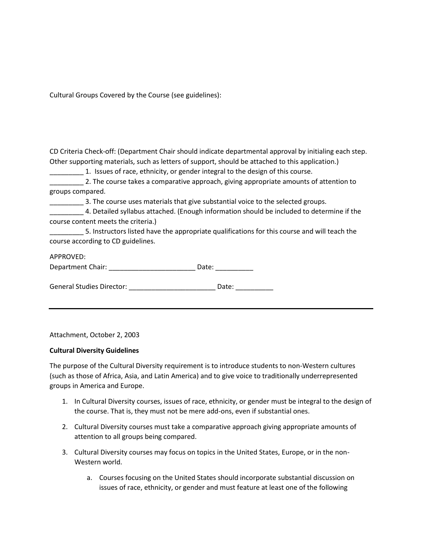Cultural Groups Covered by the Course (see guidelines):

| CD Criteria Check-off: (Department Chair should indicate departmental approval by initialing each step. |  |
|---------------------------------------------------------------------------------------------------------|--|
| Other supporting materials, such as letters of support, should be attached to this application.)        |  |
| 1. Issues of race, ethnicity, or gender integral to the design of this course.                          |  |

|                  |  |  | 2. The course takes a comparative approach, giving appropriate amounts of attention to |
|------------------|--|--|----------------------------------------------------------------------------------------|
| groups compared. |  |  |                                                                                        |

\_\_\_\_\_\_\_\_\_ 3. The course uses materials that give substantial voice to the selected groups.

| 4. Detailed syllabus attached. (Enough information should be included to determine if the |
|-------------------------------------------------------------------------------------------|
| course content meets the criteria.)                                                       |

\_\_\_\_\_\_\_\_\_ 5. Instructors listed have the appropriate qualifications for this course and will teach the course according to CD guidelines.

## APPROVED:

Department Chair: \_\_\_\_\_\_\_\_\_\_\_\_\_\_\_\_\_\_\_\_\_\_\_\_\_\_\_\_\_\_\_\_ Date: \_\_\_\_\_\_\_\_\_\_\_\_\_\_\_

General Studies Director: \_\_\_\_\_\_\_\_\_\_\_\_\_\_\_\_\_\_\_\_\_\_\_\_\_\_\_\_\_\_ Date: \_\_\_\_\_\_\_\_\_\_\_\_\_\_\_\_\_

Attachment, October 2, 2003

## **Cultural Diversity Guidelines**

The purpose of the Cultural Diversity requirement is to introduce students to non-Western cultures (such as those of Africa, Asia, and Latin America) and to give voice to traditionally underrepresented groups in America and Europe.

- 1. In Cultural Diversity courses, issues of race, ethnicity, or gender must be integral to the design of the course. That is, they must not be mere add-ons, even if substantial ones.
- 2. Cultural Diversity courses must take a comparative approach giving appropriate amounts of attention to all groups being compared.
- 3. Cultural Diversity courses may focus on topics in the United States, Europe, or in the non-Western world.
	- a. Courses focusing on the United States should incorporate substantial discussion on issues of race, ethnicity, or gender and must feature at least one of the following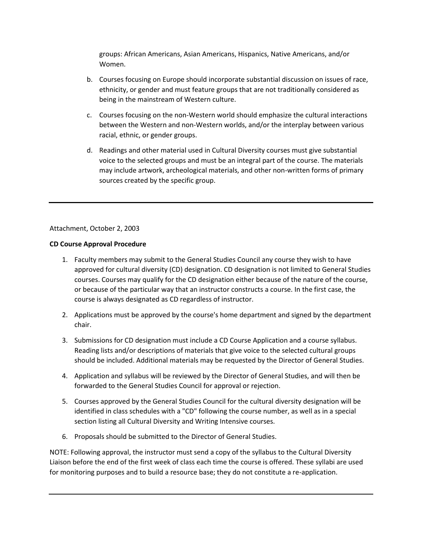groups: African Americans, Asian Americans, Hispanics, Native Americans, and/or Women.

- b. Courses focusing on Europe should incorporate substantial discussion on issues of race, ethnicity, or gender and must feature groups that are not traditionally considered as being in the mainstream of Western culture.
- c. Courses focusing on the non-Western world should emphasize the cultural interactions between the Western and non-Western worlds, and/or the interplay between various racial, ethnic, or gender groups.
- d. Readings and other material used in Cultural Diversity courses must give substantial voice to the selected groups and must be an integral part of the course. The materials may include artwork, archeological materials, and other non-written forms of primary sources created by the specific group.

# Attachment, October 2, 2003

# **CD Course Approval Procedure**

- 1. Faculty members may submit to the General Studies Council any course they wish to have approved for cultural diversity (CD) designation. CD designation is not limited to General Studies courses. Courses may qualify for the CD designation either because of the nature of the course, or because of the particular way that an instructor constructs a course. In the first case, the course is always designated as CD regardless of instructor.
- 2. Applications must be approved by the course's home department and signed by the department chair.
- 3. Submissions for CD designation must include a CD Course Application and a course syllabus. Reading lists and/or descriptions of materials that give voice to the selected cultural groups should be included. Additional materials may be requested by the Director of General Studies.
- 4. Application and syllabus will be reviewed by the Director of General Studies, and will then be forwarded to the General Studies Council for approval or rejection.
- 5. Courses approved by the General Studies Council for the cultural diversity designation will be identified in class schedules with a "CD" following the course number, as well as in a special section listing all Cultural Diversity and Writing Intensive courses.
- 6. Proposals should be submitted to the Director of General Studies.

NOTE: Following approval, the instructor must send a copy of the syllabus to the Cultural Diversity Liaison before the end of the first week of class each time the course is offered. These syllabi are used for monitoring purposes and to build a resource base; they do not constitute a re-application.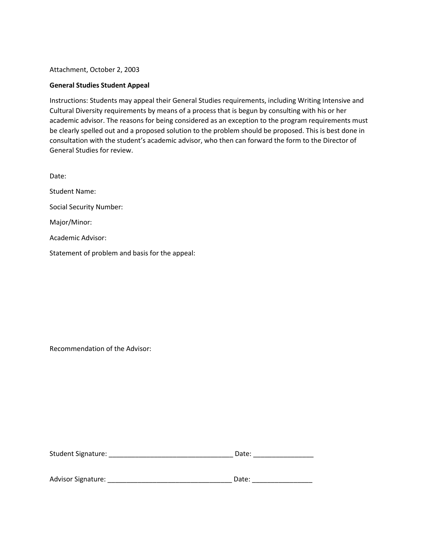Attachment, October 2, 2003

#### **General Studies Student Appeal**

Instructions: Students may appeal their General Studies requirements, including Writing Intensive and Cultural Diversity requirements by means of a process that is begun by consulting with his or her academic advisor. The reasons for being considered as an exception to the program requirements must be clearly spelled out and a proposed solution to the problem should be proposed. This is best done in consultation with the student's academic advisor, who then can forward the form to the Director of General Studies for review.

Date: Student Name: Social Security Number: Major/Minor: Academic Advisor: Statement of problem and basis for the appeal:

Recommendation of the Advisor:

| Student Signature: | Date: |  |
|--------------------|-------|--|
|                    |       |  |

| <b>Advisor Signature:</b> | Date: |
|---------------------------|-------|
|                           |       |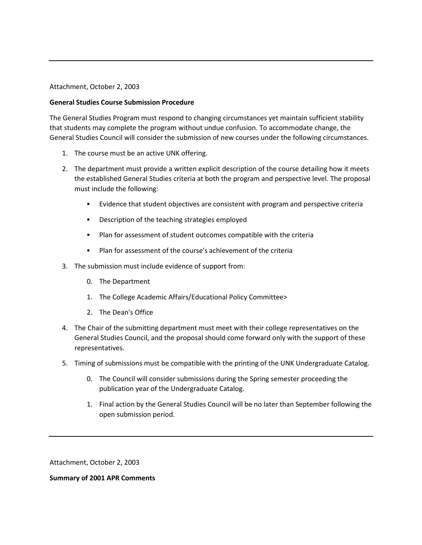#### Attachment, October 2, 2003

#### **General Studies Course Submission Procedure**

The General Studies Program must respond to changing circumstances yet maintain sufficient stability that students may complete the program without undue confusion. To accommodate change, the General Studies Council will consider the submission of new courses under the following circumstances.

- 1. The course must be an active UNK offering.
- 2. The department must provide a written explicit description of the course detailing how it meets the established General Studies criteria at both the program and perspective level. The proposal must include the following:
	- Evidence that student objectives are consistent with program and perspective criteria
	- **•** Description of the teaching strategies employed
	- Plan for assessment of student outcomes compatible with the criteria
	- Plan for assessment of the course's achievement of the criteria
- 3. The submission must include evidence of support from:
	- 0. The Department
	- 1. The College Academic Affairs/Educational Policy Committee>
	- 2. The Dean's Office
- 4. The Chair of the submitting department must meet with their college representatives on the General Studies Council, and the proposal should come forward only with the support of these representatives.
- 5. Timing of submissions must be compatible with the printing of the UNK Undergraduate Catalog.
	- 0. The Council will consider submissions during the Spring semester proceeding the publication year of the Undergraduate Catalog.
	- 1. Final action by the General Studies Council will be no later than September following the open submission period.

Attachment, October 2, 2003

**Summary of 2001 APR Comments**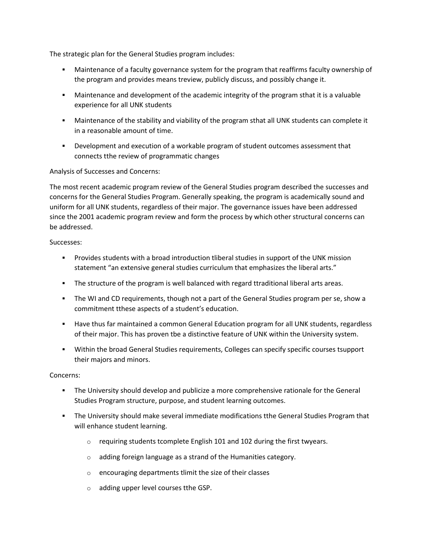The strategic plan for the General Studies program includes:

- Maintenance of a faculty governance system for the program that reaffirms faculty ownership of the program and provides means treview, publicly discuss, and possibly change it.
- Maintenance and development of the academic integrity of the program sthat it is a valuable experience for all UNK students
- Maintenance of the stability and viability of the program sthat all UNK students can complete it in a reasonable amount of time.
- Development and execution of a workable program of student outcomes assessment that connects tthe review of programmatic changes

# Analysis of Successes and Concerns:

The most recent academic program review of the General Studies program described the successes and concerns for the General Studies Program. Generally speaking, the program is academically sound and uniform for all UNK students, regardless of their major. The governance issues have been addressed since the 2001 academic program review and form the process by which other structural concerns can be addressed.

## Successes:

- **Provides students with a broad introduction tliberal studies in support of the UNK mission** statement "an extensive general studies curriculum that emphasizes the liberal arts."
- **The structure of the program is well balanced with regard ttraditional liberal arts areas.**
- The WI and CD requirements, though not a part of the General Studies program per se, show a commitment tthese aspects of a student's education.
- **Have thus far maintained a common General Education program for all UNK students, regardless** of their major. This has proven tbe a distinctive feature of UNK within the University system.
- Within the broad General Studies requirements, Colleges can specify specific courses tsupport their majors and minors.

## Concerns:

- The University should develop and publicize a more comprehensive rationale for the General Studies Program structure, purpose, and student learning outcomes.
- The University should make several immediate modifications tthe General Studies Program that will enhance student learning.
	- $\circ$  requiring students tcomplete English 101 and 102 during the first twyears.
	- o adding foreign language as a strand of the Humanities category.
	- o encouraging departments tlimit the size of their classes
	- o adding upper level courses tthe GSP.